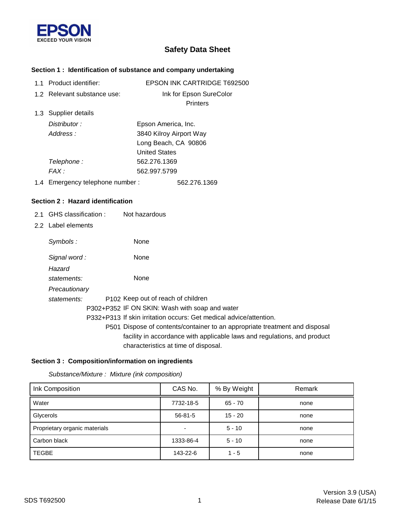

# **Safety Data Sheet**

# **Section 1 : Identification of substance and company undertaking**

|  | 1.1 Product identifier:         | <b>EPSON INK CARTRIDGE T692500</b> |
|--|---------------------------------|------------------------------------|
|  | 1.2 Relevant substance use:     | Ink for Epson SureColor            |
|  |                                 | <b>Printers</b>                    |
|  | 1.3 Supplier details            |                                    |
|  | Distributor:                    | Epson America, Inc.                |
|  | Address:                        | 3840 Kilroy Airport Way            |
|  |                                 | Long Beach, CA 90806               |
|  |                                 | <b>United States</b>               |
|  | Telephone :                     | 562.276.1369                       |
|  | FAX :                           | 562.997.5799                       |
|  | 1.4 Emergency telephone number: | 562.276.1369                       |

#### **Section 2 : Hazard identification**

- 2.1 GHS classification : Not hazardous
- 2.2 Label elements

| Symbols:              | None                                                                                                             |
|-----------------------|------------------------------------------------------------------------------------------------------------------|
| Signal word:          | None                                                                                                             |
| Hazard<br>statements: | None                                                                                                             |
| Precautionary         |                                                                                                                  |
| statements:           | P <sub>102</sub> Keep out of reach of children                                                                   |
|                       | P302+P352 IF ON SKIN: Wash with soap and water                                                                   |
|                       | P332+P313 If skin irritation occurs: Get medical advice/attention.                                               |
|                       | P501 Dispose of contents/container to an appropriate treatment and disposal                                      |
|                       | facility in accordance with applicable laws and regulations, and product<br>characteristics at time of disposal. |

#### **Section 3 : Composition/information on ingredients**

| Ink Composition               | CAS No.                  | % By Weight | Remark |
|-------------------------------|--------------------------|-------------|--------|
| Water                         | 7732-18-5                | 65 - 70     | none   |
| Glycerols                     | $56 - 81 - 5$            | $15 - 20$   | none   |
| Proprietary organic materials | $\overline{\phantom{0}}$ | $5 - 10$    | none   |
| Carbon black                  | 1333-86-4                | $5 - 10$    | none   |
| <b>TEGBE</b>                  | 143-22-6                 | $1 - 5$     | none   |

*Substance/Mixture : Mixture (ink composition)*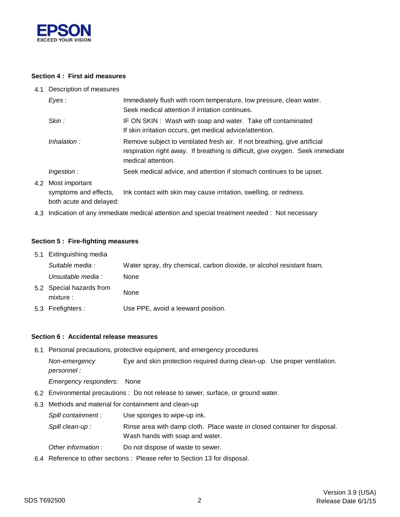

4.2

#### **Section 4 : First aid measures**

4.1 Description of measures

| Eyes:          | Immediately flush with room temperature, low pressure, clean water.<br>Seek medical attention if irritation continues.                                                            |
|----------------|-----------------------------------------------------------------------------------------------------------------------------------------------------------------------------------|
| Skin :         | IF ON SKIN: Wash with soap and water. Take off contaminated<br>If skin irritation occurs, get medical advice/attention.                                                           |
| Inhalation:    | Remove subject to ventilated fresh air. If not breathing, give artificial<br>respiration right away. If breathing is difficult, give oxygen. Seek immediate<br>medical attention. |
| Ingestion:     | Seek medical advice, and attention if stomach continues to be upset.                                                                                                              |
| Most important |                                                                                                                                                                                   |

both acute and delayed: symptoms and effects, Ink contact with skin may cause irritation, swelling, or redness.

4.3 Indication of any immediate medical attention and special treatment needed : Not necessary

#### **Section 5 : Fire-fighting measures**

| 5.1 Extinguishing media               |                                                                       |  |  |
|---------------------------------------|-----------------------------------------------------------------------|--|--|
| Suitable media :                      | Water spray, dry chemical, carbon dioxide, or alcohol resistant foam. |  |  |
| Unsuitable media :                    | None                                                                  |  |  |
| 5.2 Special hazards from<br>mixture : | None                                                                  |  |  |
| 5.3 Firefighters :                    | Use PPE, avoid a leeward position.                                    |  |  |

#### **Section 6 : Accidental release measures**

6.1 Personal precautions, protective equipment, and emergency procedures

*Non-emergency* Eye and skin protection required during clean-up. Use proper ventilation. *personnel :*

*Emergency responders:* None

- 6.2 Environmental precautions : Do not release to sewer, surface, or ground water.
- 6.3 Methods and material for containment and clean-up
	- *Spill containment :* Use sponges to wipe-up ink.

Wash hands with soap and water. Spill clean-up : Rinse area with damp cloth. Place waste in closed container for disposal.

- *Other information :* Do not dispose of waste to sewer.
- 6.4 Reference to other sections : Please refer to Section 13 for disposal.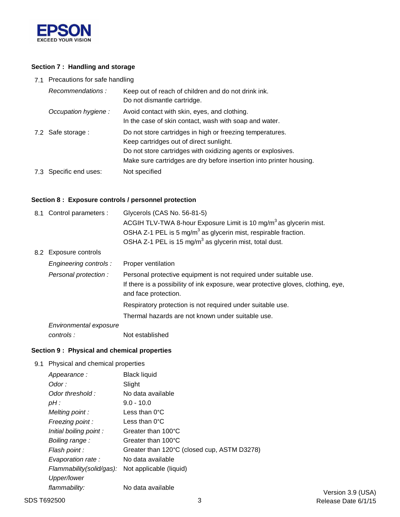

# **Section 7 : Handling and storage**

7.1 Precautions for safe handling

| Recommendations:       | Keep out of reach of children and do not drink ink.<br>Do not dismantle cartridge.                                                                                                                                                          |
|------------------------|---------------------------------------------------------------------------------------------------------------------------------------------------------------------------------------------------------------------------------------------|
| Occupation hygiene :   | Avoid contact with skin, eyes, and clothing.<br>In the case of skin contact, wash with soap and water.                                                                                                                                      |
| 7.2 Safe storage :     | Do not store cartridges in high or freezing temperatures.<br>Keep cartridges out of direct sunlight.<br>Do not store cartridges with oxidizing agents or explosives.<br>Make sure cartridges are dry before insertion into printer housing. |
| 7.3 Specific end uses: | Not specified                                                                                                                                                                                                                               |

# **Section 8 : Exposure controls / personnel protection**

|                        | Glycerols (CAS No. 56-81-5)                                                                                                                                                    |  |
|------------------------|--------------------------------------------------------------------------------------------------------------------------------------------------------------------------------|--|
|                        | ACGIH TLV-TWA 8-hour Exposure Limit is 10 mg/m <sup>3</sup> as glycerin mist.                                                                                                  |  |
|                        | OSHA Z-1 PEL is 5 mg/m <sup>3</sup> as glycerin mist, respirable fraction.                                                                                                     |  |
|                        | OSHA Z-1 PEL is 15 mg/m <sup>3</sup> as glycerin mist, total dust.                                                                                                             |  |
|                        |                                                                                                                                                                                |  |
| Engineering controls : | Proper ventilation                                                                                                                                                             |  |
| Personal protection :  | Personal protective equipment is not required under suitable use.<br>If there is a possibility of ink exposure, wear protective gloves, clothing, eye,<br>and face protection. |  |
|                        | Respiratory protection is not required under suitable use.                                                                                                                     |  |
|                        | Thermal hazards are not known under suitable use.                                                                                                                              |  |
| Environmental exposure |                                                                                                                                                                                |  |
| controls :             | Not established                                                                                                                                                                |  |
|                        | 8.1 Control parameters :<br>8.2 Exposure controls                                                                                                                              |  |

#### **Section 9 : Physical and chemical properties**

9.1 Physical and chemical properties

| Appearance:              | Black liquid                                |
|--------------------------|---------------------------------------------|
| Odor :                   | Slight                                      |
| Odor threshold:          | No data available                           |
| pH :                     | $9.0 - 10.0$                                |
| Melting point:           | Less than $0^{\circ}$ C                     |
| Freezing point:          | Less than $0^{\circ}$ C                     |
| Initial boiling point:   | Greater than 100°C                          |
| Boiling range:           | Greater than 100°C                          |
| Flash point :            | Greater than 120°C (closed cup, ASTM D3278) |
| Evaporation rate:        | No data available                           |
| Flammability(solid/gas): | Not applicable (liquid)                     |
| Upper/lower              |                                             |
| flammability:            | No data available                           |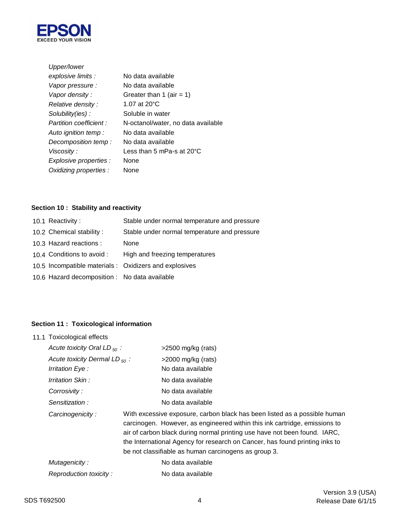

| Upper/lower             |                                      |  |
|-------------------------|--------------------------------------|--|
| explosive limits :      | No data available                    |  |
| Vapor pressure :        | No data available                    |  |
| Vapor density :         | Greater than 1 (air = 1)             |  |
| Relative density :      | 1.07 at 20°C                         |  |
| Solubility(ies):        | Soluble in water                     |  |
| Partition coefficient : | N-octanol/water, no data available   |  |
| Auto ignition temp :    | No data available                    |  |
| Decomposition temp:     | No data available                    |  |
| Viscosity :             | Less than 5 mPa-s at 20 $^{\circ}$ C |  |
| Explosive properties :  | None                                 |  |
| Oxidizing properties :  | None                                 |  |
|                         |                                      |  |

# **Section 10 : Stability and reactivity**

| 10.1 Reactivity:                              | Stable under normal temperature and pressure           |
|-----------------------------------------------|--------------------------------------------------------|
| 10.2 Chemical stability:                      | Stable under normal temperature and pressure           |
| 10.3 Hazard reactions :                       | None                                                   |
| 10.4 Conditions to avoid :                    | High and freezing temperatures                         |
|                                               | 10.5 Incompatible materials : Oxidizers and explosives |
| 10.6 Hazard decomposition : No data available |                                                        |
|                                               |                                                        |

# **Section 11 : Toxicological information**

| 11.1 Toxicological effects         |  |                                                                                                                                                                                                                                                                                                                                                                             |
|------------------------------------|--|-----------------------------------------------------------------------------------------------------------------------------------------------------------------------------------------------------------------------------------------------------------------------------------------------------------------------------------------------------------------------------|
| Acute toxicity Oral LD $_{50}$ :   |  | $>2500$ mg/kg (rats)                                                                                                                                                                                                                                                                                                                                                        |
| Acute toxicity Dermal LD $_{50}$ : |  | $>$ 2000 mg/kg (rats)                                                                                                                                                                                                                                                                                                                                                       |
| Irritation Eye :                   |  | No data available                                                                                                                                                                                                                                                                                                                                                           |
| Irritation Skin:                   |  | No data available                                                                                                                                                                                                                                                                                                                                                           |
| Corrosivity:                       |  | No data available                                                                                                                                                                                                                                                                                                                                                           |
| Sensitization:                     |  | No data available                                                                                                                                                                                                                                                                                                                                                           |
| Carcinogenicity:                   |  | With excessive exposure, carbon black has been listed as a possible human<br>carcinogen. However, as engineered within this ink cartridge, emissions to<br>air of carbon black during normal printing use have not been found. IARC,<br>the International Agency for research on Cancer, has found printing inks to<br>be not classifiable as human carcinogens as group 3. |
| Mutagenicity:                      |  | No data available                                                                                                                                                                                                                                                                                                                                                           |
| Reproduction toxicity:             |  | No data available                                                                                                                                                                                                                                                                                                                                                           |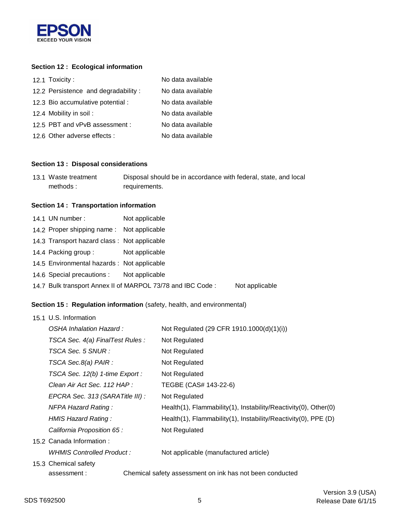

# **Section 12 : Ecological information**

| 12.1 Toxicity:                      | No data available |
|-------------------------------------|-------------------|
| 12.2 Persistence and degradability: | No data available |
| 12.3 Bio accumulative potential :   | No data available |
| 12.4 Mobility in soil:              | No data available |
| 12.5 PBT and vPvB assessment :      | No data available |
| 12.6 Other adverse effects :        | No data available |

#### **Section 13 : Disposal considerations**

| 13.1 Waste treatment | Disposal should be in accordance with federal, state, and local |
|----------------------|-----------------------------------------------------------------|
| methods:             | requirements.                                                   |

#### **Section 14 : Transportation information**

| 14.1 UN number:                             | Not applicable                                             |                |
|---------------------------------------------|------------------------------------------------------------|----------------|
| 14.2 Proper shipping name: Not applicable   |                                                            |                |
| 14.3 Transport hazard class: Not applicable |                                                            |                |
| 14.4 Packing group:                         | Not applicable                                             |                |
| 14.5 Environmental hazards : Not applicable |                                                            |                |
| 14.6 Special precautions : Not applicable   |                                                            |                |
|                                             | 14.7 Bulk transport Annex II of MARPOL 73/78 and IBC Code: | Not applicable |

# **Section 15 : Regulation information** (safety, health, and environmental)

| 15.1 U.S. Information            |                                                                 |
|----------------------------------|-----------------------------------------------------------------|
| OSHA Inhalation Hazard:          | Not Regulated (29 CFR 1910.1000(d)(1)(i))                       |
| TSCA Sec. 4(a) FinalTest Rules : | Not Regulated                                                   |
| TSCA Sec. 5 SNUR :               | Not Regulated                                                   |
| TSCA Sec.8(a) PAIR :             | Not Regulated                                                   |
| TSCA Sec. 12(b) 1-time Export :  | Not Regulated                                                   |
| Clean Air Act Sec. 112 HAP :     | TEGBE (CAS# 143-22-6)                                           |
| EPCRA Sec. 313 (SARATitle III) : | Not Regulated                                                   |
| <b>NFPA Hazard Rating:</b>       | Health(1), Flammability(1), Instability/Reactivity(0), Other(0) |
| HMIS Hazard Rating:              | Health(1), Flammability(1), Instability/Reactivity(0), PPE (D)  |
| California Proposition 65 :      | Not Regulated                                                   |
| 15.2 Canada Information:         |                                                                 |
| WHMIS Controlled Product:        | Not applicable (manufactured article)                           |
| 15.3 Chemical safety             |                                                                 |
| assessment:                      | Chemical safety assessment on ink has not been conducted        |